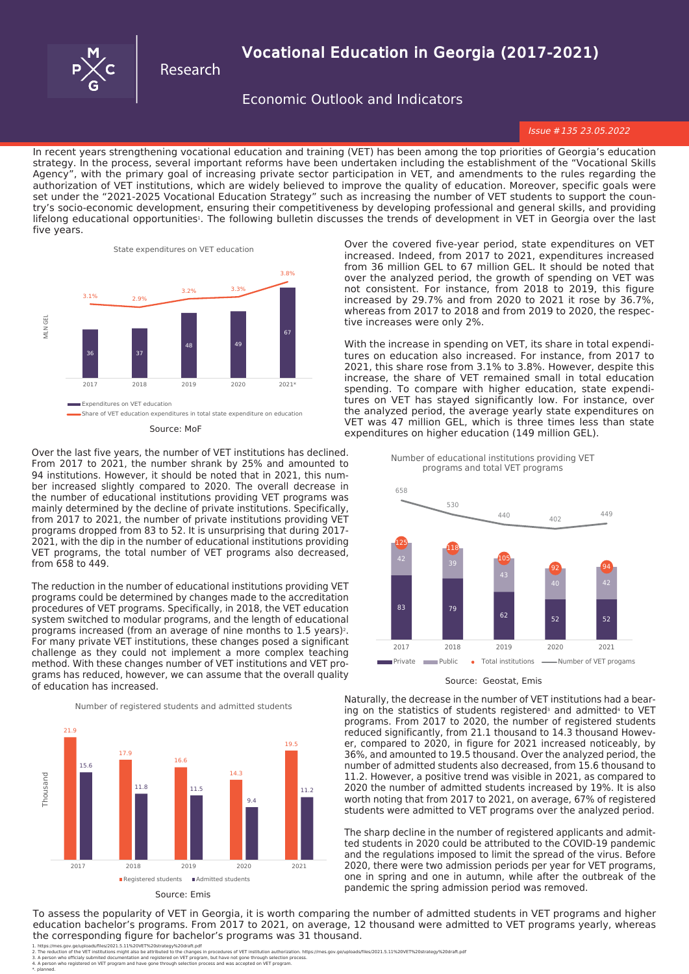

from 658 to 449.

## Research

# **Vocational Education in Georgia (2017-2021)**

**Economic Outlook and Indicators** 

*Issue* #*135 23.05.2022*

In recent years strengthening vocational education and training (VET) has been among the top priorities of Georgia's education strategy. In the process, several important reforms have been undertaken including the establishment of the "Vocational Skills Agency", with the primary goal of increasing private sector participation in VET, and amendments to the rules regarding the authorization of VET institutions, which are widely believed to improve the quality of education. Moreover, specific goals were set under the "2021-2025 Vocational Education Strategy" such as increasing the number of VET students to support the country's socio-economic development, ensuring their competitiveness by developing professional and general skills, and providing lifelong educational opportunities<sup>1</sup>. The following bulletin discusses the trends of development in VET in Georgia over the last five years.



Over the last five years, the number of VET institutions has declined. From 2017 to 2021, the number shrank by 25% and amounted to 94 institutions. However, it should be noted that in 2021, this number increased slightly compared to 2020. The overall decrease in the number of educational institutions providing VET programs was mainly determined by the decline of private institutions. Specifically, from 2017 to 2021, the number of private institutions providing VET programs dropped from 83 to 52. It is unsurprising that during 2017- 2021, with the dip in the number of educational institutions providing VET programs, the total number of VET programs also decreased,

The reduction in the number of educational institutions providing VET programs could be determined by changes made to the accreditation procedures of VET programs. Specifically, in 2018, the VET education system switched to modular programs, and the length of educational programs increased (from an average of nine months to 1.5 years)<sup>2</sup>. For many private VET institutions, these changes posed a significant challenge as they could not implement a more complex teaching method. With these changes number of VET institutions and VET programs has reduced, however, we can assume that the overall quality of education has increased.



Over the covered five-year period, state expenditures on VET increased. Indeed, from 2017 to 2021, expenditures increased from 36 million GEL to 67 million GEL. It should be noted that over the analyzed period, the growth of spending on VET was not consistent. For instance, from 2018 to 2019, this figure increased by 29.7% and from 2020 to 2021 it rose by 36.7%, whereas from 2017 to 2018 and from 2019 to 2020, the respective increases were only 2%.

With the increase in spending on VET, its share in total expenditures on education also increased. For instance, from 2017 to 2021, this share rose from 3.1% to 3.8%. However, despite this increase, the share of VET remained small in total education spending. To compare with higher education, state expenditures on VET has stayed significantly low. For instance, over the analyzed period, the average yearly state expenditures on VET was 47 million GEL, which is three times less than state Source: MoF Source: MoF Source: MoF Source: MoF Source: MoF Source: MoF Source: MoF Source: MoF Source: MoF Source: MoF Source: MoF Source: MoF Source: MoF Source: MoF Source: MoTher Source: MoTher Source: MoTher Source: M

> Number of educational institutions providing VET programs and total VET programs



Source: Geostat, Emis

Naturally, the decrease in the number of VET institutions had a bearing on the statistics of students registered<sup>3</sup> and admitted<sup>4</sup> to VET programs. From 2017 to 2020, the number of registered students reduced significantly, from 21.1 thousand to 14.3 thousand However, compared to 2020, in figure for 2021 increased noticeably, by 36%, and amounted to 19.5 thousand. Over the analyzed period, the number of admitted students also decreased, from 15.6 thousand to 11.2. However, a positive trend was visible in 2021, as compared to 2020 the number of admitted students increased by 19%. It is also worth noting that from 2017 to 2021, on average, 67% of registered students were admitted to VET programs over the analyzed period.

The sharp decline in the number of registered applicants and admitted students in 2020 could be attributed to the COVID-19 pandemic and the regulations imposed to limit the spread of the virus. Before 2020, there were two admission periods per year for VET programs, one in spring and one in autumn, while after the outbreak of the pandemic the spring admission period was removed.

To assess the popularity of VET in Georgia, it is worth comparing the number of admitted students in VET programs and higher education bachelor's programs. From 2017 to 2021, on average, 12 thousand were admitted to VET programs yearly, whereas the corresponding figure for bachelor's programs was 31 thousand.

<sup>1.</sup> https://mes.gov.ge/uploads/files/2021.5.1.%20VET%20strategy%20draft.pdf<br>2. The reduction of the VET institutions might also be attributed to the changes in procedures of VET institution authorization. https://mes.gov.ge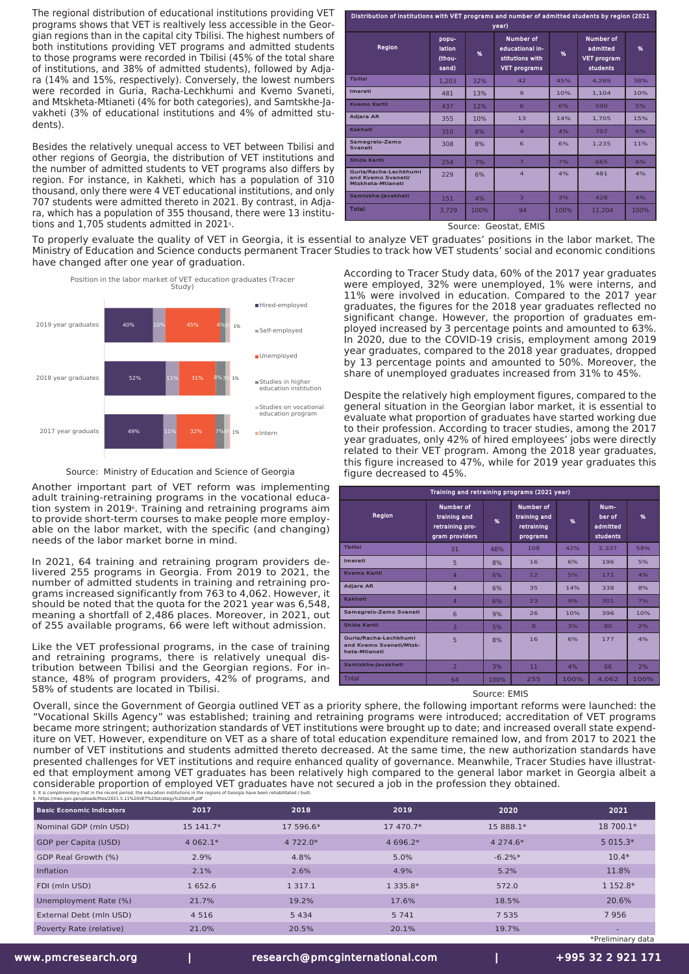The regional distribution of educational institutions providing VET programs shows that VET is realtively less accessible in the Georgian regions than in the capital city Tbilisi. The highest numbers of both institutions providing VET programs and admitted students to those programs were recorded in Tbilisi (45% of the total share of institutions, and 38% of admitted students), followed by Adjara (14% and 15%, respectively). Conversely, the lowest numbers were recorded in Guria, Racha-Lechkhumi and Kvemo Svaneti, and Mtskheta-Mtianeti (4% for both categories), and Samtskhe-Javakheti (3% of educational institutions and 4% of admitted students).

Besides the relatively unequal access to VET between Tbilisi and other regions of Georgia, the distribution of VET institutions and the number of admitted students to VET programs also differs by region. For instance, in Kakheti, which has a population of 310 thousand, only there were 4 VET educational institutions, and only 707 students were admitted thereto in 2021. By contrast, in Adjara, which has a population of 355 thousand, there were 13 institutions and 1.705 students admitted in 2021<sup>5</sup>.

| Distribution of institutions with VET programs and number of admitted students by region (2021<br>year) |                                    |      |                                                                               |      |                                                         |      |  |
|---------------------------------------------------------------------------------------------------------|------------------------------------|------|-------------------------------------------------------------------------------|------|---------------------------------------------------------|------|--|
| Region                                                                                                  | popu-<br>lation<br>(thou-<br>sand) | %    | <b>Number of</b><br>educational in-<br>stitutions with<br><b>VET programs</b> | %    | Number of<br>admitted<br><b>VET program</b><br>students | %    |  |
| <b>Thilisi</b>                                                                                          | 1.203                              | 32%  | 42                                                                            | 45%  | 4.289                                                   | 38%  |  |
| Imereti                                                                                                 | 481                                | 13%  | $\mathbf{9}$                                                                  | 10%  | 1.104                                                   | 10%  |  |
| <b>Kvemo Kartli</b>                                                                                     | 437                                | 12%  | 6                                                                             | 6%   | 590                                                     | 5%   |  |
| <b>Adiara AR</b>                                                                                        | 355                                | 10%  | 13                                                                            | 14%  | 1.705                                                   | 15%  |  |
| Kakheti                                                                                                 | 310                                | 8%   | $\overline{4}$                                                                | 4%   | 707                                                     | 6%   |  |
| Samegrelo-Zemo<br>Svaneti                                                                               | 308                                | 8%   | 6                                                                             | 6%   | 1.235                                                   | 11%  |  |
| Shida Kartli                                                                                            | 254                                | 7%   | $\overline{7}$                                                                | 7%   | 665                                                     | 6%   |  |
| Guria/Racha-Lechkhumi<br>and Kvemo Svaneti/<br><b>Mtskheta-Mtianeti</b>                                 | 229                                | 6%   | $\overline{4}$                                                                | 4%   | 481                                                     | 4%   |  |
| Samtskhe-Javakheti                                                                                      | 151                                | 4%   | $\overline{\mathbf{3}}$                                                       | 3%   | 428                                                     | 4%   |  |
| <b>Total</b>                                                                                            | 3,729                              | 100% | 94                                                                            | 100% | 11.204                                                  | 100% |  |

Source: Geostat, EMIS

To properly evaluate the quality of VET in Georgia, it is essential to analyze VET graduates' positions in the labor market. The Ministry of Education and Science conducts permanent Tracer Studies to track how VET students' social and economic conditions have changed after one year of graduation.



Source: Ministry of Education and Science of Georgia

Another important part of VET reform was implementing adult training-retraining programs in the vocational education system in 20196. Training and retraining programs aim to provide short-term courses to make people more employable on the labor market, with the specific (and changing) needs of the labor market borne in mind.

In 2021, 64 training and retraining program providers delivered 255 programs in Georgia. From 2019 to 2021, the number of admitted students in training and retraining programs increased significantly from 763 to 4,062. However, it should be noted that the quota for the 2021 year was 6,548, meaning a shortfall of 2,486 places. Moreover, in 2021, out of 255 available programs, 66 were left without admission.

Like the VET professional programs, in the case of training and retraining programs, there is relatively unequal distribution between Tbilisi and the Georgian regions. For instance, 48% of program providers, 42% of programs, and 58% of students are located in Tbilisi.

According to Tracer Study data, 60% of the 2017 year graduates were employed, 32% were unemployed, 1% were interns, and 11% were involved in education. Compared to the 2017 year graduates, the figures for the 2018 year graduates reflected no significant change. However, the proportion of graduates employed increased by 3 percentage points and amounted to 63%. In 2020, due to the COVID-19 crisis, employment among 2019 year graduates, compared to the 2018 year graduates, dropped by 13 percentage points and amounted to 50%. Moreover, the share of unemployed graduates increased from 31% to 45%.

Despite the relatively high employment figures, compared to the general situation in the Georgian labor market, it is essential to evaluate what proportion of graduates have started working due to their profession. According to tracer studies, among the 2017 year graduates, only 42% of hired employees' jobs were directly related to their VET program. Among the 2018 year graduates, this figure increased to 47%, while for 2019 year graduates this figure decreased to 45%.

| Training and retraining programs (2021 year)                      |                                                                |      |                                                     |      |                                        |      |  |  |
|-------------------------------------------------------------------|----------------------------------------------------------------|------|-----------------------------------------------------|------|----------------------------------------|------|--|--|
| Region                                                            | Number of<br>training and<br>retraining pro-<br>gram providers |      | Number of<br>training and<br>retraining<br>programs | %    | Num-<br>ber of<br>admitted<br>students | %    |  |  |
| <b>Thilisi</b>                                                    | 31                                                             | 48%  | 108                                                 | 42%  | 2.337                                  | 58%  |  |  |
| Imereti                                                           | 5                                                              | 8%   | 16                                                  | 6%   | 196                                    | 5%   |  |  |
| <b>Kvemo Kartli</b>                                               | $\overline{4}$                                                 | 6%   | 12                                                  | 5%   | 171                                    | 4%   |  |  |
| Adjara AR                                                         | $\overline{4}$                                                 | 6%   | 35                                                  | 14%  | 338                                    | 8%   |  |  |
| Kakheti                                                           | $\overline{4}$                                                 | 6%   | 23                                                  | 9%   | 301                                    | 7%   |  |  |
| Samegrelo-Zemo Svaneti                                            | 6                                                              | 9%   | 26                                                  | 10%  | 396                                    | 10%  |  |  |
| Shida Kartli                                                      | $\overline{3}$                                                 | 5%   | $\mathbf{8}$                                        | 3%   | 80                                     | 2%   |  |  |
| Guria/Racha-Lechkhumi<br>and Kvemo Svaneti/Mtsk-<br>heta-Mtianeti | 5                                                              | 8%   | 16                                                  | 6%   | 177                                    | 4%   |  |  |
| Samtskhe-Javakheti                                                | $\overline{2}$                                                 | 3%   | 11                                                  | 4%   | 66                                     | 2%   |  |  |
| <b>Total</b>                                                      | 64                                                             | 100% | 255                                                 | 100% | 4,062                                  | 100% |  |  |

Source: EMIS

5. It is complimentory that in the recent period, the education institutions in the regions of Georgia have been rehabilitated / built. 6. https://mes.gov.ge/uploads/files/2021.5.11%20VET%20strategy%20draft.pdf Overall, since the Government of Georgia outlined VET as a priority sphere, the following important reforms were launched: the "Vocational Skills Agency" was established; training and retraining programs were introduced; accreditation of VET programs became more stringent; authorization standards of VET institutions were brought up to date; and increased overall state expenditure on VET. However, expenditure on VET as a share of total education expenditure remained low, and from 2017 to 2021 the number of VET institutions and students admitted thereto decreased. At the same time, the new authorization standards have presented challenges for VET institutions and require enhanced quality of governance. Meanwhile, Tracer Studies have illustrated that employment among VET graduates has been relatively high compared to the general labor market in Georgia albeit a considerable proportion of employed VET graduates have not secured a job in the profession they obtained.

| <b>Basic Economic Indicators</b> | 2017      | 2018        | 2019         | 2020         | 2021              |
|----------------------------------|-----------|-------------|--------------|--------------|-------------------|
| Nominal GDP (mln USD)            | 15 141.7* | 17 596.6*   | 17 470.7*    | 15 888.1*    | 18 700.1*         |
| GDP per Capita (USD)             | $4062.1*$ | 4 722.0*    | 4 696.2*     | 4 2 7 4 . 6* | $5015.3*$         |
| GDP Real Growth (%)              | 2.9%      | 4.8%        | 5.0%         | $-6.2\%*$    | $10.4*$           |
| Inflation                        | 2.1%      | 2.6%        | 4.9%         | 5.2%         | 11.8%             |
| FDI (mln USD)                    | 1 652.6   | 1 3 1 7 . 1 | 1 3 3 5 . 8* | 572.0        | 1 152.8*          |
| Unemployment Rate (%)            | 21.7%     | 19.2%       | 17.6%        | 18.5%        | 20.6%             |
| External Debt (mln USD)          | 4 5 1 6   | 5 4 3 4     | 5 7 4 1      | 7 5 3 5      | 7956              |
| Poverty Rate (relative)          | 21.0%     | 20.5%       | 20.1%        | 19.7%        | ۰                 |
|                                  |           |             |              |              | *Preliminary data |